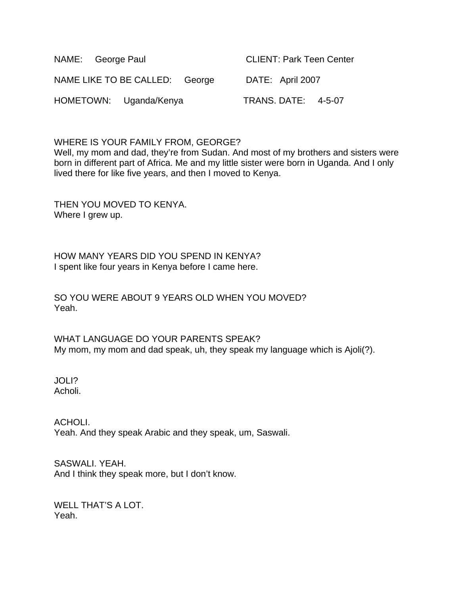| NAME: George Paul      |                                | <b>CLIENT: Park Teen Center</b> |                            |  |
|------------------------|--------------------------------|---------------------------------|----------------------------|--|
|                        | NAME LIKE TO BE CALLED: George |                                 | DATE: April 2007           |  |
| HOMETOWN: Uganda/Kenya |                                |                                 | <b>TRANS. DATE: 4-5-07</b> |  |

WHERE IS YOUR FAMILY FROM, GEORGE?

Well, my mom and dad, they're from Sudan. And most of my brothers and sisters were born in different part of Africa. Me and my little sister were born in Uganda. And I only lived there for like five years, and then I moved to Kenya.

THEN YOU MOVED TO KENYA. Where I grew up.

HOW MANY YEARS DID YOU SPEND IN KENYA? I spent like four years in Kenya before I came here.

SO YOU WERE ABOUT 9 YEARS OLD WHEN YOU MOVED? Yeah.

WHAT LANGUAGE DO YOUR PARENTS SPEAK? My mom, my mom and dad speak, uh, they speak my language which is Ajoli(?).

JOLI? Acholi.

ACHOLI. Yeah. And they speak Arabic and they speak, um, Saswali.

SASWALI. YEAH. And I think they speak more, but I don't know.

WELL THAT'S A LOT. Yeah.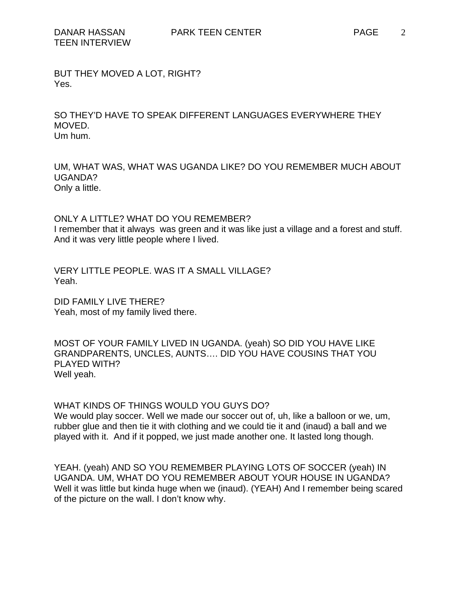BUT THEY MOVED A LOT, RIGHT? Yes.

SO THEY'D HAVE TO SPEAK DIFFERENT LANGUAGES EVERYWHERE THEY MOVED. Um hum.

UM, WHAT WAS, WHAT WAS UGANDA LIKE? DO YOU REMEMBER MUCH ABOUT UGANDA? Only a little.

ONLY A LITTLE? WHAT DO YOU REMEMBER? I remember that it always was green and it was like just a village and a forest and stuff. And it was very little people where I lived.

VERY LITTLE PEOPLE. WAS IT A SMALL VILLAGE? Yeah.

DID FAMILY LIVE THERE? Yeah, most of my family lived there.

MOST OF YOUR FAMILY LIVED IN UGANDA. (yeah) SO DID YOU HAVE LIKE GRANDPARENTS, UNCLES, AUNTS…. DID YOU HAVE COUSINS THAT YOU PLAYED WITH? Well yeah.

WHAT KINDS OF THINGS WOULD YOU GUYS DO?

We would play soccer. Well we made our soccer out of, uh, like a balloon or we, um, rubber glue and then tie it with clothing and we could tie it and (inaud) a ball and we played with it. And if it popped, we just made another one. It lasted long though.

YEAH. (yeah) AND SO YOU REMEMBER PLAYING LOTS OF SOCCER (yeah) IN UGANDA. UM, WHAT DO YOU REMEMBER ABOUT YOUR HOUSE IN UGANDA? Well it was little but kinda huge when we (inaud). (YEAH) And I remember being scared of the picture on the wall. I don't know why.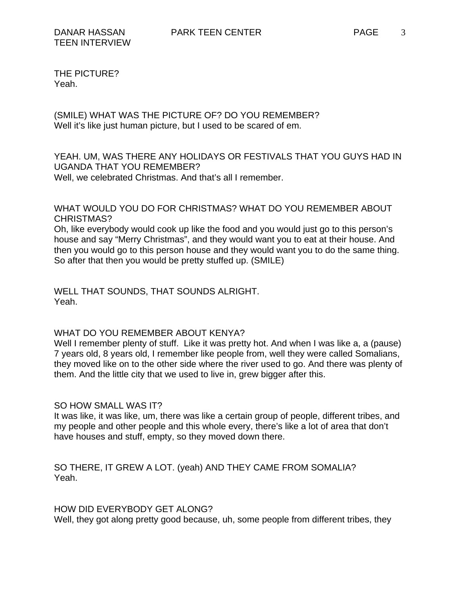THE PICTURE? Yeah.

(SMILE) WHAT WAS THE PICTURE OF? DO YOU REMEMBER? Well it's like just human picture, but I used to be scared of em.

### YEAH. UM, WAS THERE ANY HOLIDAYS OR FESTIVALS THAT YOU GUYS HAD IN UGANDA THAT YOU REMEMBER? Well, we celebrated Christmas. And that's all I remember.

WHAT WOULD YOU DO FOR CHRISTMAS? WHAT DO YOU REMEMBER ABOUT CHRISTMAS?

Oh, like everybody would cook up like the food and you would just go to this person's house and say "Merry Christmas", and they would want you to eat at their house. And then you would go to this person house and they would want you to do the same thing. So after that then you would be pretty stuffed up. (SMILE)

WELL THAT SOUNDS, THAT SOUNDS ALRIGHT. Yeah.

#### WHAT DO YOU REMEMBER ABOUT KENYA?

Well I remember plenty of stuff. Like it was pretty hot. And when I was like a, a (pause) 7 years old, 8 years old, I remember like people from, well they were called Somalians, they moved like on to the other side where the river used to go. And there was plenty of them. And the little city that we used to live in, grew bigger after this.

#### SO HOW SMALL WAS IT?

It was like, it was like, um, there was like a certain group of people, different tribes, and my people and other people and this whole every, there's like a lot of area that don't have houses and stuff, empty, so they moved down there.

SO THERE, IT GREW A LOT. (yeah) AND THEY CAME FROM SOMALIA? Yeah.

HOW DID EVERYBODY GET ALONG?

Well, they got along pretty good because, uh, some people from different tribes, they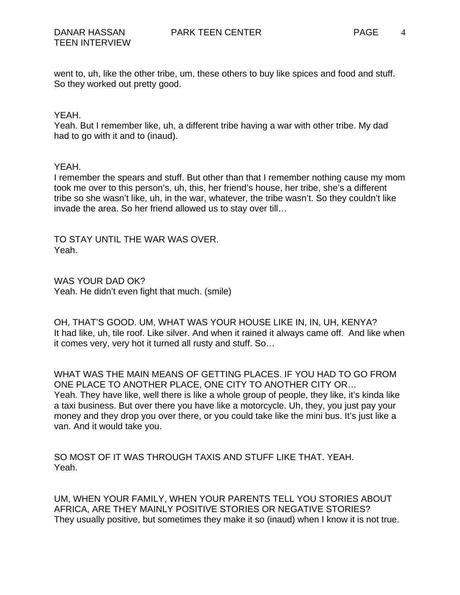4

went to, uh, like the other tribe, um, these others to buy like spices and food and stuff. So they worked out pretty good.

#### YEAH.

Yeah. But I remember like, uh, a different tribe having a war with other tribe. My dad had to go with it and to (inaud).

### YEAH.

I remember the spears and stuff. But other than that I remember nothing cause my mom took me over to this person's, uh, this, her friend's house, her tribe, she's a different tribe so she wasn't like, uh, in the war, whatever, the tribe wasn't. So they couldn't like invade the area. So her friend allowed us to stay over till…

TO STAY UNTIL THE WAR WAS OVER. Yeah.

WAS YOUR DAD OK? Yeah. He didn't even fight that much. (smile)

OH, THAT'S GOOD. UM, WHAT WAS YOUR HOUSE LIKE IN, IN, UH, KENYA? It had like, uh, tile roof. Like silver. And when it rained it always came off. And like when it comes very, very hot it turned all rusty and stuff. So…

WHAT WAS THE MAIN MEANS OF GETTING PLACES. IF YOU HAD TO GO FROM ONE PLACE TO ANOTHER PLACE, ONE CITY TO ANOTHER CITY OR… Yeah. They have like, well there is like a whole group of people, they like, it's kinda like a taxi business. But over there you have like a motorcycle. Uh, they, you just pay your money and they drop you over there, or you could take like the mini bus. It's just like a van. And it would take you.

SO MOST OF IT WAS THROUGH TAXIS AND STUFF LIKE THAT. YEAH. Yeah.

UM, WHEN YOUR FAMILY, WHEN YOUR PARENTS TELL YOU STORIES ABOUT AFRICA, ARE THEY MAINLY POSITIVE STORIES OR NEGATIVE STORIES? They usually positive, but sometimes they make it so (inaud) when I know it is not true.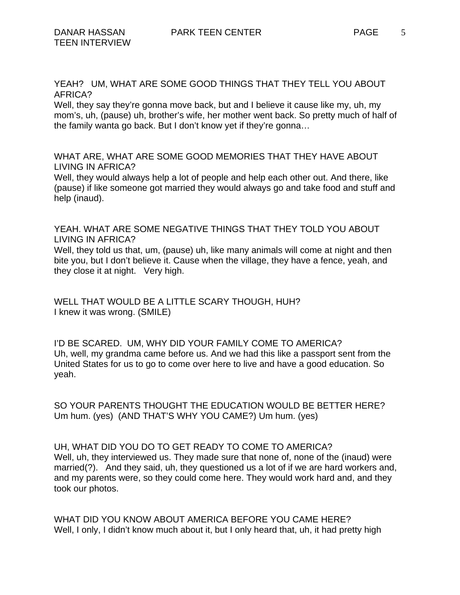YEAH? UM, WHAT ARE SOME GOOD THINGS THAT THEY TELL YOU ABOUT AFRICA?

Well, they say they're gonna move back, but and I believe it cause like my, uh, my mom's, uh, (pause) uh, brother's wife, her mother went back. So pretty much of half of the family wanta go back. But I don't know yet if they're gonna…

WHAT ARE, WHAT ARE SOME GOOD MEMORIES THAT THEY HAVE ABOUT LIVING IN AFRICA?

Well, they would always help a lot of people and help each other out. And there, like (pause) if like someone got married they would always go and take food and stuff and help (inaud).

YEAH. WHAT ARE SOME NEGATIVE THINGS THAT THEY TOLD YOU ABOUT LIVING IN AFRICA?

Well, they told us that, um, (pause) uh, like many animals will come at night and then bite you, but I don't believe it. Cause when the village, they have a fence, yeah, and they close it at night. Very high.

WELL THAT WOULD BE A LITTLE SCARY THOUGH, HUH? I knew it was wrong. (SMILE)

I'D BE SCARED. UM, WHY DID YOUR FAMILY COME TO AMERICA? Uh, well, my grandma came before us. And we had this like a passport sent from the United States for us to go to come over here to live and have a good education. So yeah.

SO YOUR PARENTS THOUGHT THE EDUCATION WOULD BE BETTER HERE? Um hum. (yes) (AND THAT'S WHY YOU CAME?) Um hum. (yes)

UH, WHAT DID YOU DO TO GET READY TO COME TO AMERICA? Well, uh, they interviewed us. They made sure that none of, none of the (inaud) were married(?). And they said, uh, they questioned us a lot of if we are hard workers and, and my parents were, so they could come here. They would work hard and, and they took our photos.

WHAT DID YOU KNOW ABOUT AMERICA BEFORE YOU CAME HERE? Well, I only, I didn't know much about it, but I only heard that, uh, it had pretty high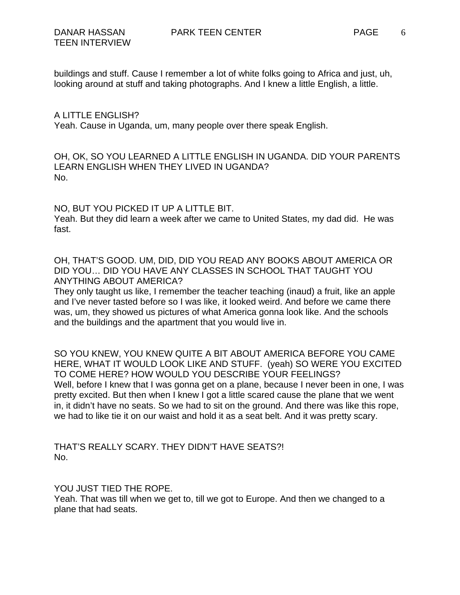buildings and stuff. Cause I remember a lot of white folks going to Africa and just, uh, looking around at stuff and taking photographs. And I knew a little English, a little.

A LITTLE ENGLISH?

Yeah. Cause in Uganda, um, many people over there speak English.

OH, OK, SO YOU LEARNED A LITTLE ENGLISH IN UGANDA. DID YOUR PARENTS LEARN ENGLISH WHEN THEY LIVED IN UGANDA? No.

NO, BUT YOU PICKED IT UP A LITTLE BIT. Yeah. But they did learn a week after we came to United States, my dad did. He was fast.

OH, THAT'S GOOD. UM, DID, DID YOU READ ANY BOOKS ABOUT AMERICA OR DID YOU… DID YOU HAVE ANY CLASSES IN SCHOOL THAT TAUGHT YOU ANYTHING ABOUT AMERICA?

They only taught us like, I remember the teacher teaching (inaud) a fruit, like an apple and I've never tasted before so I was like, it looked weird. And before we came there was, um, they showed us pictures of what America gonna look like. And the schools and the buildings and the apartment that you would live in.

SO YOU KNEW, YOU KNEW QUITE A BIT ABOUT AMERICA BEFORE YOU CAME HERE, WHAT IT WOULD LOOK LIKE AND STUFF. (yeah) SO WERE YOU EXCITED TO COME HERE? HOW WOULD YOU DESCRIBE YOUR FEELINGS? Well, before I knew that I was gonna get on a plane, because I never been in one, I was pretty excited. But then when I knew I got a little scared cause the plane that we went in, it didn't have no seats. So we had to sit on the ground. And there was like this rope, we had to like tie it on our waist and hold it as a seat belt. And it was pretty scary.

THAT'S REALLY SCARY. THEY DIDN'T HAVE SEATS?! No.

YOU JUST TIED THE ROPE.

Yeah. That was till when we get to, till we got to Europe. And then we changed to a plane that had seats.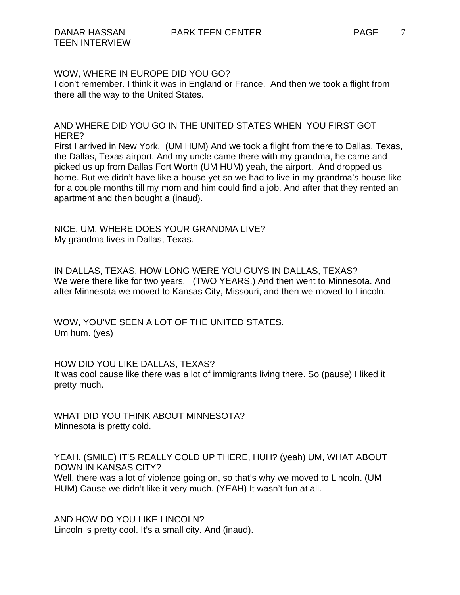## WOW, WHERE IN EUROPE DID YOU GO?

I don't remember. I think it was in England or France. And then we took a flight from there all the way to the United States.

AND WHERE DID YOU GO IN THE UNITED STATES WHEN YOU FIRST GOT HERE?

First I arrived in New York. (UM HUM) And we took a flight from there to Dallas, Texas, the Dallas, Texas airport. And my uncle came there with my grandma, he came and picked us up from Dallas Fort Worth (UM HUM) yeah, the airport. And dropped us home. But we didn't have like a house yet so we had to live in my grandma's house like for a couple months till my mom and him could find a job. And after that they rented an apartment and then bought a (inaud).

NICE. UM, WHERE DOES YOUR GRANDMA LIVE? My grandma lives in Dallas, Texas.

IN DALLAS, TEXAS. HOW LONG WERE YOU GUYS IN DALLAS, TEXAS? We were there like for two years. (TWO YEARS.) And then went to Minnesota. And after Minnesota we moved to Kansas City, Missouri, and then we moved to Lincoln.

WOW, YOU'VE SEEN A LOT OF THE UNITED STATES. Um hum. (yes)

## HOW DID YOU LIKE DALLAS, TEXAS? It was cool cause like there was a lot of immigrants living there. So (pause) I liked it pretty much.

WHAT DID YOU THINK ABOUT MINNESOTA? Minnesota is pretty cold.

YEAH. (SMILE) IT'S REALLY COLD UP THERE, HUH? (yeah) UM, WHAT ABOUT DOWN IN KANSAS CITY? Well, there was a lot of violence going on, so that's why we moved to Lincoln. (UM HUM) Cause we didn't like it very much. (YEAH) It wasn't fun at all.

AND HOW DO YOU LIKE LINCOLN? Lincoln is pretty cool. It's a small city. And (inaud).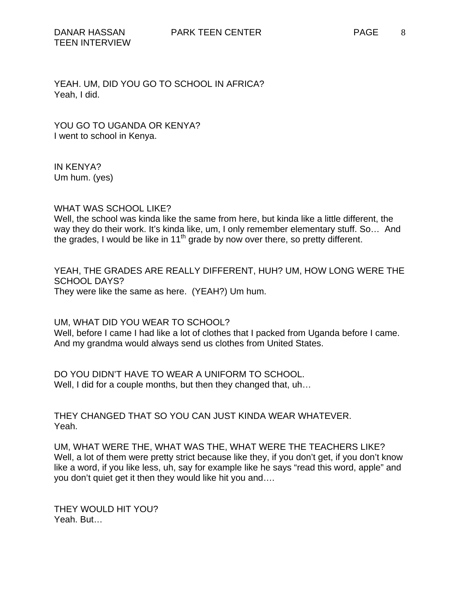YOU GO TO UGANDA OR KENYA? I went to school in Kenya.

IN KENYA? Um hum. (yes)

WHAT WAS SCHOOL LIKE?

Well, the school was kinda like the same from here, but kinda like a little different, the way they do their work. It's kinda like, um, I only remember elementary stuff. So... And the grades, I would be like in 11<sup>th</sup> grade by now over there, so pretty different.

YEAH, THE GRADES ARE REALLY DIFFERENT, HUH? UM, HOW LONG WERE THE SCHOOL DAYS? They were like the same as here. (YEAH?) Um hum.

UM, WHAT DID YOU WEAR TO SCHOOL?

Well, before I came I had like a lot of clothes that I packed from Uganda before I came. And my grandma would always send us clothes from United States.

DO YOU DIDN'T HAVE TO WEAR A UNIFORM TO SCHOOL. Well, I did for a couple months, but then they changed that, uh...

THEY CHANGED THAT SO YOU CAN JUST KINDA WEAR WHATEVER. Yeah.

UM, WHAT WERE THE, WHAT WAS THE, WHAT WERE THE TEACHERS LIKE? Well, a lot of them were pretty strict because like they, if you don't get, if you don't know like a word, if you like less, uh, say for example like he says "read this word, apple" and you don't quiet get it then they would like hit you and….

THEY WOULD HIT YOU? Yeah. But…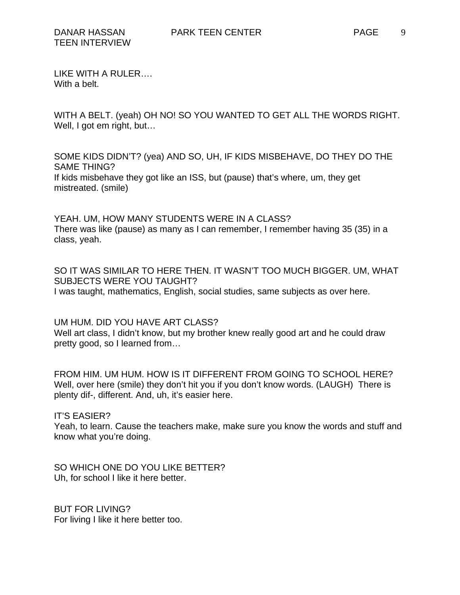LIKE WITH A RULER…. With a belt.

WITH A BELT. (yeah) OH NO! SO YOU WANTED TO GET ALL THE WORDS RIGHT. Well, I got em right, but...

SOME KIDS DIDN'T? (yea) AND SO, UH, IF KIDS MISBEHAVE, DO THEY DO THE SAME THING? If kids misbehave they got like an ISS, but (pause) that's where, um, they get mistreated. (smile)

YEAH. UM, HOW MANY STUDENTS WERE IN A CLASS? There was like (pause) as many as I can remember, I remember having 35 (35) in a class, yeah.

SO IT WAS SIMILAR TO HERE THEN. IT WASN'T TOO MUCH BIGGER. UM, WHAT SUBJECTS WERE YOU TAUGHT? I was taught, mathematics, English, social studies, same subjects as over here.

UM HUM. DID YOU HAVE ART CLASS? Well art class, I didn't know, but my brother knew really good art and he could draw pretty good, so I learned from…

FROM HIM. UM HUM. HOW IS IT DIFFERENT FROM GOING TO SCHOOL HERE? Well, over here (smile) they don't hit you if you don't know words. (LAUGH) There is plenty dif-, different. And, uh, it's easier here.

IT'S EASIER? Yeah, to learn. Cause the teachers make, make sure you know the words and stuff and know what you're doing.

SO WHICH ONE DO YOU LIKE BETTER? Uh, for school I like it here better.

BUT FOR LIVING? For living I like it here better too.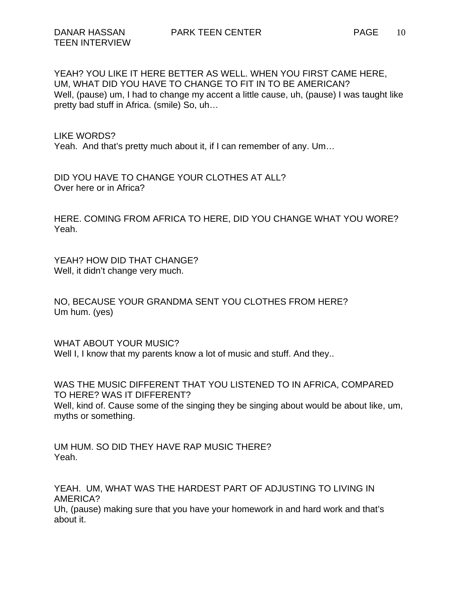YEAH? YOU LIKE IT HERE BETTER AS WELL. WHEN YOU FIRST CAME HERE, UM, WHAT DID YOU HAVE TO CHANGE TO FIT IN TO BE AMERICAN? Well, (pause) um, I had to change my accent a little cause, uh, (pause) I was taught like pretty bad stuff in Africa. (smile) So, uh…

LIKE WORDS? Yeah. And that's pretty much about it, if I can remember of any. Um…

DID YOU HAVE TO CHANGE YOUR CLOTHES AT ALL? Over here or in Africa?

HERE. COMING FROM AFRICA TO HERE, DID YOU CHANGE WHAT YOU WORE? Yeah.

YEAH? HOW DID THAT CHANGE? Well, it didn't change very much.

NO, BECAUSE YOUR GRANDMA SENT YOU CLOTHES FROM HERE? Um hum. (yes)

WHAT ABOUT YOUR MUSIC? Well I, I know that my parents know a lot of music and stuff. And they..

WAS THE MUSIC DIFFERENT THAT YOU LISTENED TO IN AFRICA, COMPARED TO HERE? WAS IT DIFFERENT? Well, kind of. Cause some of the singing they be singing about would be about like, um, myths or something.

UM HUM. SO DID THEY HAVE RAP MUSIC THERE? Yeah.

YEAH. UM, WHAT WAS THE HARDEST PART OF ADJUSTING TO LIVING IN AMERICA? Uh, (pause) making sure that you have your homework in and hard work and that's about it.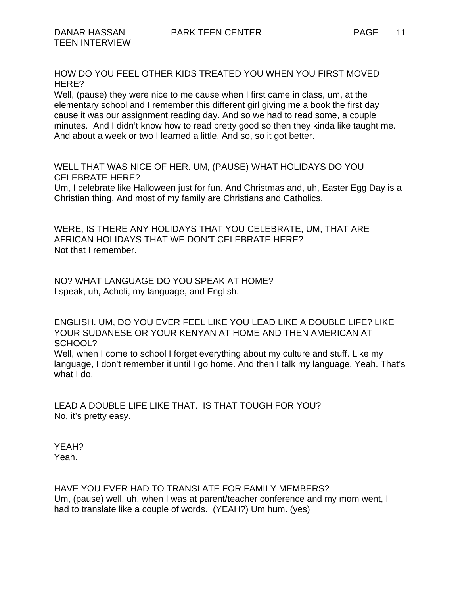HOW DO YOU FEEL OTHER KIDS TREATED YOU WHEN YOU FIRST MOVED HERE?

Well, (pause) they were nice to me cause when I first came in class, um, at the elementary school and I remember this different girl giving me a book the first day cause it was our assignment reading day. And so we had to read some, a couple minutes. And I didn't know how to read pretty good so then they kinda like taught me. And about a week or two I learned a little. And so, so it got better.

WELL THAT WAS NICE OF HER. UM, (PAUSE) WHAT HOLIDAYS DO YOU CELEBRATE HERE?

Um, I celebrate like Halloween just for fun. And Christmas and, uh, Easter Egg Day is a Christian thing. And most of my family are Christians and Catholics.

WERE, IS THERE ANY HOLIDAYS THAT YOU CELEBRATE, UM, THAT ARE AFRICAN HOLIDAYS THAT WE DON'T CELEBRATE HERE? Not that I remember.

NO? WHAT LANGUAGE DO YOU SPEAK AT HOME? I speak, uh, Acholi, my language, and English.

ENGLISH. UM, DO YOU EVER FEEL LIKE YOU LEAD LIKE A DOUBLE LIFE? LIKE YOUR SUDANESE OR YOUR KENYAN AT HOME AND THEN AMERICAN AT SCHOOL? Well, when I come to school I forget everything about my culture and stuff. Like my language, I don't remember it until I go home. And then I talk my language. Yeah. That's what I do.

LEAD A DOUBLE LIFE LIKE THAT. IS THAT TOUGH FOR YOU? No, it's pretty easy.

YEAH? Yeah.

HAVE YOU EVER HAD TO TRANSLATE FOR FAMILY MEMBERS? Um, (pause) well, uh, when I was at parent/teacher conference and my mom went, I had to translate like a couple of words. (YEAH?) Um hum. (yes)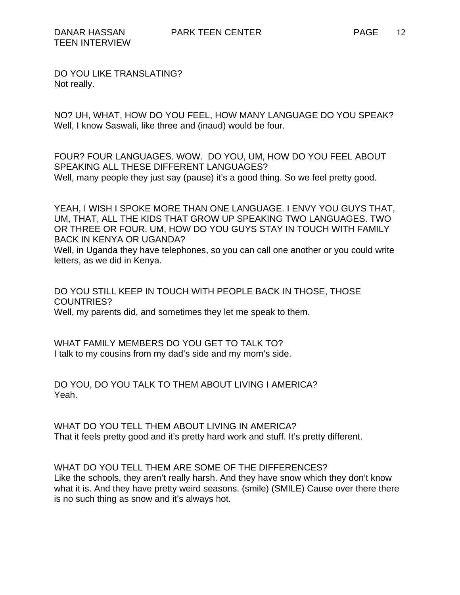DO YOU LIKE TRANSLATING? Not really.

NO? UH, WHAT, HOW DO YOU FEEL, HOW MANY LANGUAGE DO YOU SPEAK? Well, I know Saswali, like three and (inaud) would be four.

FOUR? FOUR LANGUAGES. WOW. DO YOU, UM, HOW DO YOU FEEL ABOUT SPEAKING ALL THESE DIFFERENT LANGUAGES? Well, many people they just say (pause) it's a good thing. So we feel pretty good.

YEAH, I WISH I SPOKE MORE THAN ONE LANGUAGE. I ENVY YOU GUYS THAT, UM, THAT, ALL THE KIDS THAT GROW UP SPEAKING TWO LANGUAGES. TWO OR THREE OR FOUR. UM, HOW DO YOU GUYS STAY IN TOUCH WITH FAMILY BACK IN KENYA OR UGANDA? Well, in Uganda they have telephones, so you can call one another or you could write

letters, as we did in Kenya.

DO YOU STILL KEEP IN TOUCH WITH PEOPLE BACK IN THOSE, THOSE COUNTRIES? Well, my parents did, and sometimes they let me speak to them.

WHAT FAMILY MEMBERS DO YOU GET TO TALK TO? I talk to my cousins from my dad's side and my mom's side.

DO YOU, DO YOU TALK TO THEM ABOUT LIVING I AMERICA? Yeah.

WHAT DO YOU TELL THEM ABOUT LIVING IN AMERICA? That it feels pretty good and it's pretty hard work and stuff. It's pretty different.

WHAT DO YOU TELL THEM ARE SOME OF THE DIFFERENCES? Like the schools, they aren't really harsh. And they have snow which they don't know what it is. And they have pretty weird seasons. (smile) (SMILE) Cause over there there is no such thing as snow and it's always hot.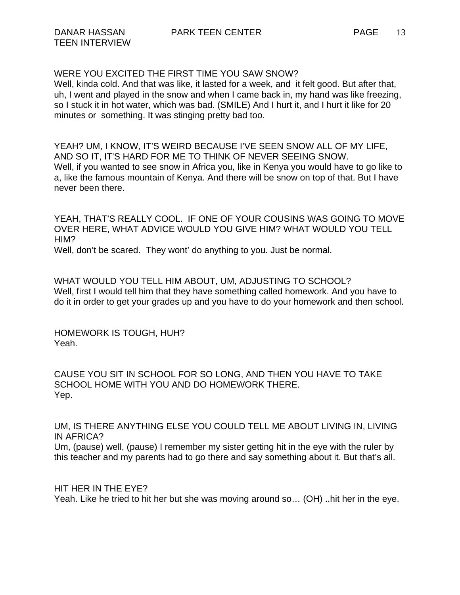Well, kinda cold. And that was like, it lasted for a week, and it felt good. But after that, uh, I went and played in the snow and when I came back in, my hand was like freezing, so I stuck it in hot water, which was bad. (SMILE) And I hurt it, and I hurt it like for 20 minutes or something. It was stinging pretty bad too.

YEAH? UM, I KNOW, IT'S WEIRD BECAUSE I'VE SEEN SNOW ALL OF MY LIFE, AND SO IT, IT'S HARD FOR ME TO THINK OF NEVER SEEING SNOW. Well, if you wanted to see snow in Africa you, like in Kenya you would have to go like to a, like the famous mountain of Kenya. And there will be snow on top of that. But I have never been there.

YEAH, THAT'S REALLY COOL. IF ONE OF YOUR COUSINS WAS GOING TO MOVE OVER HERE, WHAT ADVICE WOULD YOU GIVE HIM? WHAT WOULD YOU TELL HIM? Well, don't be scared. They wont' do anything to you. Just be normal.

WHAT WOULD YOU TELL HIM ABOUT, UM, ADJUSTING TO SCHOOL? Well, first I would tell him that they have something called homework. And you have to do it in order to get your grades up and you have to do your homework and then school.

HOMEWORK IS TOUGH, HUH? Yeah.

CAUSE YOU SIT IN SCHOOL FOR SO LONG, AND THEN YOU HAVE TO TAKE SCHOOL HOME WITH YOU AND DO HOMEWORK THERE. Yep.

UM, IS THERE ANYTHING ELSE YOU COULD TELL ME ABOUT LIVING IN, LIVING IN AFRICA?

Um, (pause) well, (pause) I remember my sister getting hit in the eye with the ruler by this teacher and my parents had to go there and say something about it. But that's all.

HIT HER IN THE EYE? Yeah. Like he tried to hit her but she was moving around so… (OH) ..hit her in the eye.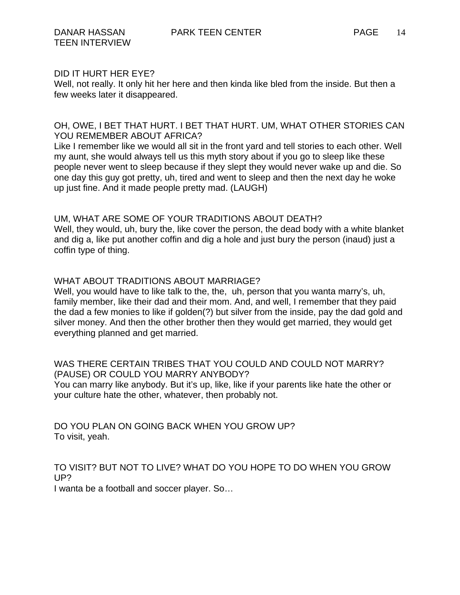#### DID IT HURT HER EYE?

Well, not really. It only hit her here and then kinda like bled from the inside. But then a few weeks later it disappeared.

# OH, OWE, I BET THAT HURT. I BET THAT HURT. UM, WHAT OTHER STORIES CAN YOU REMEMBER ABOUT AFRICA?

Like I remember like we would all sit in the front yard and tell stories to each other. Well my aunt, she would always tell us this myth story about if you go to sleep like these people never went to sleep because if they slept they would never wake up and die. So one day this guy got pretty, uh, tired and went to sleep and then the next day he woke up just fine. And it made people pretty mad. (LAUGH)

# UM, WHAT ARE SOME OF YOUR TRADITIONS ABOUT DEATH?

Well, they would, uh, bury the, like cover the person, the dead body with a white blanket and dig a, like put another coffin and dig a hole and just bury the person (inaud) just a coffin type of thing.

# WHAT ABOUT TRADITIONS ABOUT MARRIAGE?

Well, you would have to like talk to the, the, uh, person that you wanta marry's, uh, family member, like their dad and their mom. And, and well, I remember that they paid the dad a few monies to like if golden(?) but silver from the inside, pay the dad gold and silver money. And then the other brother then they would get married, they would get everything planned and get married.

#### WAS THERE CERTAIN TRIBES THAT YOU COULD AND COULD NOT MARRY? (PAUSE) OR COULD YOU MARRY ANYBODY?

You can marry like anybody. But it's up, like, like if your parents like hate the other or your culture hate the other, whatever, then probably not.

DO YOU PLAN ON GOING BACK WHEN YOU GROW UP? To visit, yeah.

# TO VISIT? BUT NOT TO LIVE? WHAT DO YOU HOPE TO DO WHEN YOU GROW UP?

I wanta be a football and soccer player. So…